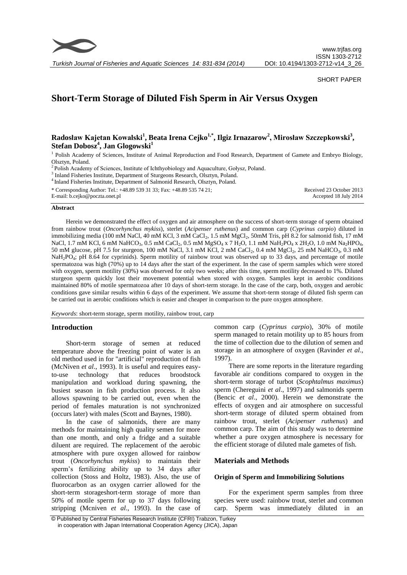

SHORT PAPER

# **Short-Term Storage of Diluted Fish Sperm in Air Versus Oxygen**

## $\bold{R}$ adosław Kajetan Kowalski<sup>1</sup>, Beata Irena Cejko<sup>1,\*</sup>, Ilgiz Irnazarow<sup>2</sup>, Mirosław Szczepkowski<sup>3</sup>, **Stefan Dobosz<sup>4</sup> , Jan Glogowski<sup>1</sup>**

<sup>1</sup> Polish Academy of Sciences, Institute of Animal Reproduction and Food Research, Department of Gamete and Embryo Biology, Olsztyn, Poland.

<sup>2</sup> Polish Academy of Sciences, Institute of Ichthyobiology and Aquaculture, Gołysz, Poland.

<sup>3</sup> Inland Fisheries Institute, Department of Sturgeons Research, Olsztyn, Poland.

4 Inland Fisheries Institute, Department of Salmonid Research, Olsztyn, Poland.

| * Corresponding Author: Tel.: +48.89 539 31 33; Fax: +48.89 535 74 21; | Received 23 October 2013 |
|------------------------------------------------------------------------|--------------------------|
| E-mail: b.cejko@poczta.onet.pl                                         | Accepted 18 July 2014    |

#### **Abstract**

Herein we demonstrated the effect of oxygen and air atmosphere on the success of short-term storage of sperm obtained from rainbow trout (*Oncorhynchus mykiss*), sterlet (*Acipenser ruthenus*) and common carp (*Cyprinus carpio*) diluted in immobilizing media (100 mM NaCl, 40 mM KCl, 3 mM CaCl<sub>2</sub>, 1.5 mM MgCl<sub>2</sub>, 50mM Tris, pH 8.2 for salmonid fish, 17 mM NaCl, 1.7 mM KCl, 6 mM NaHCO<sub>3</sub>, 0.5 mM CaCl<sub>2</sub>, 0.5 mM MgSO<sub>4</sub> x 7 H<sub>2</sub>O, 1.1 mM NaH<sub>2</sub>PO<sub>4</sub> x 2H<sub>2</sub>O, 1.0 mM Na<sub>2</sub>HPO<sub>4</sub>, 50 mM glucose, pH 7.5 for sturgeon, 100 mM NaCl, 3.1 mM KCl, 2 mM CaCl<sub>2</sub>, 0.4 mM MgCl<sub>2</sub>, 25 mM NaHCO<sub>3</sub>, 0.3 mM NaH<sub>2</sub>PO<sub>4</sub>; pH 8.64 for cyprinids). Sperm motility of rainbow trout was observed up to 33 days, and percentage of motile spermatozoa was high (70%) up to 14 days after the start of the experiment. In the case of sperm samples which were stored with oxygen, sperm motility (30%) was observed for only two weeks; after this time, sperm motility decreased to 1%. Diluted sturgeon sperm quickly lost their movement potential when stored with oxygen. Samples kept in aerobic conditions maintained 80% of motile spermatozoa after 10 days of short-term storage. In the case of the carp, both, oxygen and aerobic conditions gave similar results within 6 days of the experiment. We assume that short-term storage of diluted fish sperm can be carried out in aerobic conditions which is easier and cheaper in comparison to the pure oxygen atmosphere.

*Keywords*: short-term storage, sperm motility, rainbow trout, carp

## **Introduction**

Short-term storage of semen at reduced temperature above the freezing point of water is an old method used in for "artificial" reproduction of fish (McNiven *et al*.*,* 1993). It is useful and requires easyto-use technology that reduces broodstock manipulation and workload during spawning, the busiest season in fish production process. It also allows spawning to be carried out, even when the period of females maturation is not synchronized (occurs later) with males (Scott and Baynes, 1980).

In the case of salmonids, there are many methods for maintaining high quality semen for more than one month, and only a fridge and a suitable diluent are required. The replacement of the aerobic atmosphere with pure oxygen allowed for rainbow trout (*Oncorhynchus mykiss*) to maintain their sperm's fertilizing ability up to 34 days after collection (Stoss and Holtz, 1983). Also, the use of fluorocarbon as an oxygen carrier allowed for the short-term storageshort-term storage of more than 50% of motile sperm for up to 37 days following stripping (Mcniven *et al*.*,* 1993). In the case of common carp (*Cyprinus carpio*), 30% of motile sperm managed to retain motility up to 85 hours from the time of collection due to the dilution of semen and storage in an atmosphere of oxygen (Ravinder *et al*., 1997).

There are some reports in the literature regarding favorable air conditions compared to oxygen in the short-term storage of turbot (*Scophtalmus maximus*) sperm (Chereguini *et al*., 1997) and salmonids sperm (Bencic *et al*., 2000). Herein we demonstrate the effects of oxygen and air atmosphere on successful short-term storage of diluted sperm obtained from rainbow trout, sterlet (*Acipenser ruthenus*) and common carp. The aim of this study was to determine whether a pure oxygen atmosphere is necessary for the efficient storage of diluted male gametes of fish.

## **Materials and Methods**

#### **Origin of Sperm and Immobilizing Solutions**

For the experiment sperm samples from three species were used: rainbow trout, sterlet and common carp. Sperm was immediately diluted in an

© Published by Central Fisheries Research Institute (CFRI) Trabzon, Turkey in cooperation with Japan International Cooperation Agency (JICA), Japan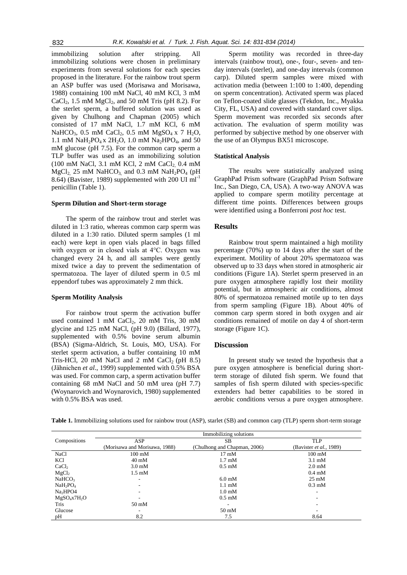immobilizing solution after stripping. All immobilizing solutions were chosen in preliminary experiments from several solutions for each species proposed in the literature. For the rainbow trout sperm an ASP buffer was used (Morisawa and Morisawa, 1988) containing 100 mM NaCl, 40 mM KCl, 3 mM CaCl<sub>2</sub>, 1.5 mM  $MgCl<sub>2</sub>$ , and 50 mM Tris (pH 8.2). For the sterlet sperm, a buffered solution was used as given by Chulhong and Chapman (2005) which consisted of 17 mM NaCl, 1.7 mM KCl, 6 mM NaHCO<sub>3</sub>, 0.5 mM CaCl<sub>2</sub>, 0.5 mM MgSO<sub>4</sub> x 7 H<sub>2</sub>O, 1.1 mM NaH<sub>2</sub>PO<sub>4</sub> x 2H<sub>2</sub>O, 1.0 mM Na<sub>2</sub>HPO<sub>4</sub>, and 50 mM glucose (pH 7.5). For the common carp sperm a TLP buffer was used as an immobilizing solution  $(100 \text{ mM NaCl}, 3.1 \text{ mM KCl}, 2 \text{ mM CaCl}, 0.4 \text{ mM})$  $MgCl<sub>2</sub>$ , 25 mM NaHCO<sub>3</sub>, and 0.3 mM NaH<sub>2</sub>PO<sub>4</sub> (pH) 8.64) (Bavister, 1989) supplemented with 200 UI ml-1 penicillin (Table 1).

#### **Sperm Dilution and Short-term storage**

The sperm of the rainbow trout and sterlet was diluted in 1:3 ratio, whereas common carp sperm was diluted in a 1:30 ratio. Diluted sperm samples (1 ml each) were kept in open vials placed in bags filled with oxygen or in closed vials at 4°C. Oxygen was changed every 24 h, and all samples were gently mixed twice a day to prevent the sedimentation of spermatozoa. The layer of diluted sperm in 0.5 ml eppendorf tubes was approximately 2 mm thick.

#### **Sperm Motility Analysis**

For rainbow trout sperm the activation buffer used contained 1 mM  $CaCl<sub>2</sub>$ , 20 mM Tris, 30 mM glycine and 125 mM NaCl, (pH 9.0) (Billard, 1977), supplemented with 0.5% bovine serum albumin (BSA) (Sigma-Aldrich, St. Louis, MO, USA). For sterlet sperm activation, a buffer containing 10 mM Tris-HCl, 20 mM NaCl and 2 mM CaCl<sub>2</sub> (pH  $8.5$ ) (Jähnichen *et al*., 1999) supplemented with 0.5% BSA was used. For common carp, a sperm activation buffer containing 68 mM NaCl and 50 mM urea (pH 7.7) (Woynarovich and Woynarovich, 1980) supplemented with 0.5% BSA was used.

Sperm motility was recorded in three-day intervals (rainbow trout), one-, four-, seven- and tenday intervals (sterlet), and one-day intervals (common carp). Diluted sperm samples were mixed with activation media (between 1:100 to 1:400, depending on sperm concentration). Activated sperm was placed on Teflon-coated slide glasses (Tekdon, Inc., Myakka City, FL, USA) and covered with standard cover slips. Sperm movement was recorded six seconds after activation. The evaluation of sperm motility was performed by subjective method by one observer with the use of an Olympus BX51 microscope.

#### **Statistical Analysis**

The results were statistically analyzed using GraphPad Prism software (GraphPad Prism Software Inc., San Diego, CA, USA). A two-way ANOVA was applied to compare sperm motility percentage at different time points. Differences between groups were identified using a Bonferroni *post hoc* test.

#### **Results**

Rainbow trout sperm maintained a high motility percentage (70%) up to 14 days after the start of the experiment. Motility of about 20% spermatozoa was observed up to 33 days when stored in atmospheric air conditions (Figure 1A). Sterlet sperm preserved in an pure oxygen atmosphere rapidly lost their motility potential, but in atmospheric air conditions, almost 80% of spermatozoa remained motile up to ten days from sperm sampling (Figure 1B). About 40% of common carp sperm stored in both oxygen and air conditions remained of motile on day 4 of short-term storage (Figure 1C).

### **Discussion**

In present study we tested the hypothesis that a pure oxygen atmosphere is beneficial during shortterm storage of diluted fish sperm. We found that samples of fish sperm diluted with species-specific extenders had better capabilities to be stored in aerobic conditions versus a pure oxygen atmosphere.

|                                  | Immobilizing solutions        |                              |                           |
|----------------------------------|-------------------------------|------------------------------|---------------------------|
| Compositions                     | ASP                           | SВ                           | <b>TLP</b>                |
|                                  | (Morisawa and Morisawa, 1988) | (Chulhong and Chapman, 2006) | (Bavister et al., 1989)   |
| NaCl                             | $100 \text{ mM}$              | $17 \text{ mM}$              | $100 \text{ mM}$          |
| KCl                              | $40 \text{ mM}$               | $1.7 \text{ }\mathrm{mM}$    | $3.1 \text{ mM}$          |
| CaCl <sub>2</sub>                | $3.0 \text{ mM}$              | $0.5 \text{ }\mathrm{mM}$    | $2.0 \text{ mM}$          |
| MgCl <sub>2</sub>                | $1.5 \text{ }\mathrm{mM}$     |                              | $0.4 \text{ }\mathrm{mM}$ |
| NaHCO <sub>3</sub>               |                               | $6.0 \text{ mM}$             | $25 \text{ mM}$           |
| NaH <sub>2</sub> PO <sub>4</sub> | ۰                             | $1.1 \text{ }\mathrm{mM}$    | $0.3$ mM                  |
| Na <sub>2</sub> HPO4             |                               | $1.0 \text{ }\mathrm{mM}$    | ۰                         |
| $MgSO_4x7H_2O$                   |                               | $0.5 \text{ }\mathrm{mM}$    |                           |
| <b>Tris</b>                      | $50 \text{ mM}$               | $\overline{\phantom{a}}$     |                           |
| Glucose                          |                               | $50 \text{ mM}$              |                           |
| pH                               | 8.2                           | 7.5                          | 8.64                      |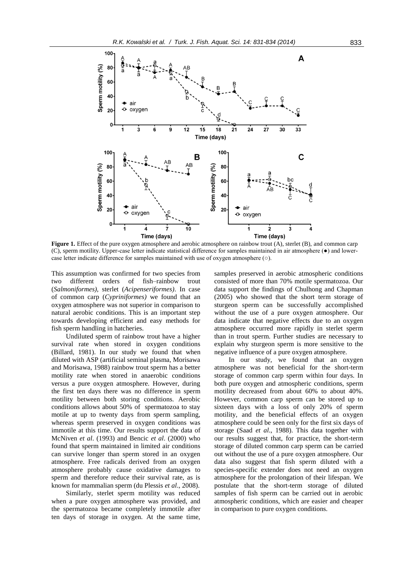

**Figure 1.** Effect of the pure oxygen atmosphere and aerobic atmosphere on rainbow trout (A), sterlet (B), and common carp (C), sperm motility. Upper-case letter indicate statistical difference for samples maintained in air atmosphere (●) and lowercase letter indicate difference for samples maintained with use of oxygen atmosphere (○).

This assumption was confirmed for two species from two different orders of fish–rainbow trout (*Salmoniformes)*, sterlet (*Acipenseriformes)*. In case of common carp (*Cypriniformes)* we found that an oxygen atmosphere was not superior in comparison to natural aerobic conditions. This is an important step towards developing efficient and easy methods for fish sperm handling in hatcheries.

Undiluted sperm of rainbow trout have a higher survival rate when stored in oxygen conditions (Billard, 1981). In our study we found that when diluted with ASP (artificial seminal plasma, Morisawa and Morisawa, 1988) rainbow trout sperm has a better motility rate when stored in anaerobic conditions versus a pure oxygen atmosphere. However, during the first ten days there was no difference in sperm motility between both storing conditions. Aerobic conditions allows about 50% of spermatozoa to stay motile at up to twenty days from sperm sampling, whereas sperm preserved in oxygen conditions was immotile at this time. Our results support the data of McNiven *et al*. (1993) and Bencic *et al*. (2000) who found that sperm maintained in limited air conditions can survive longer than sperm stored in an oxygen atmosphere. Free radicals derived from an oxygen atmosphere probably cause oxidative damages to sperm and therefore reduce their survival rate, as is known for mammalian sperm (du Plessis *et al*., 2008).

Similarly, sterlet sperm motility was reduced when a pure oxygen atmosphere was provided, and the spermatozoa became completely immotile after ten days of storage in oxygen. At the same time,

samples preserved in aerobic atmospheric conditions consisted of more than 70% motile spermatozoa. Our data support the findings of Chulhong and Chapman (2005) who showed that the short term storage of sturgeon sperm can be successfully accomplished without the use of a pure oxygen atmosphere. Our data indicate that negative effects due to an oxygen atmosphere occurred more rapidly in sterlet sperm than in trout sperm. Further studies are necessary to explain why sturgeon sperm is more sensitive to the negative influence of a pure oxygen atmosphere.

In our study, we found that an oxygen atmosphere was not beneficial for the short-term storage of common carp sperm within four days. In both pure oxygen and atmospheric conditions, sperm motility decreased from about 60% to about 40%. However, common carp sperm can be stored up to sixteen days with a loss of only 20% of sperm motility, and the beneficial effects of an oxygen atmosphere could be seen only for the first six days of storage (Saad *et al*., 1988). This data together with our results suggest that, for practice, the short-term storage of diluted common carp sperm can be carried out without the use of a pure oxygen atmosphere. Our data also suggest that fish sperm diluted with a species-specific extender does not need an oxygen atmosphere for the prolongation of their lifespan. We postulate that the short-term storage of diluted samples of fish sperm can be carried out in aerobic atmospheric conditions, which are easier and cheaper in comparison to pure oxygen conditions.